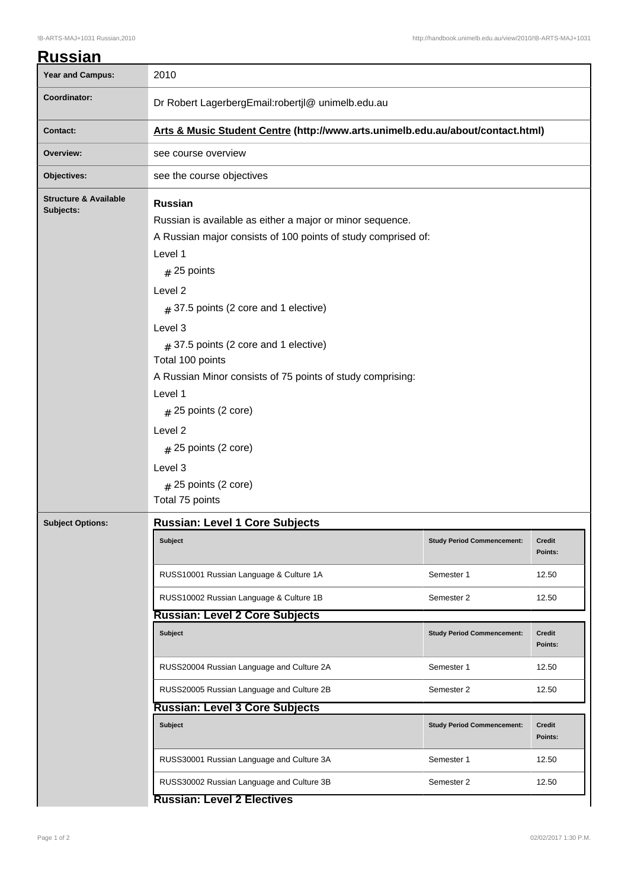| Year and Campus:                              | 2010                                                                                                                                                                                                                                                                                                                                                                                                                                                                                                     |                                   |                          |  |  |
|-----------------------------------------------|----------------------------------------------------------------------------------------------------------------------------------------------------------------------------------------------------------------------------------------------------------------------------------------------------------------------------------------------------------------------------------------------------------------------------------------------------------------------------------------------------------|-----------------------------------|--------------------------|--|--|
| Coordinator:                                  | Dr Robert LagerbergEmail:robertjl@ unimelb.edu.au                                                                                                                                                                                                                                                                                                                                                                                                                                                        |                                   |                          |  |  |
| <b>Contact:</b>                               | Arts & Music Student Centre (http://www.arts.unimelb.edu.au/about/contact.html)                                                                                                                                                                                                                                                                                                                                                                                                                          |                                   |                          |  |  |
| Overview:                                     | see course overview                                                                                                                                                                                                                                                                                                                                                                                                                                                                                      |                                   |                          |  |  |
| Objectives:                                   | see the course objectives                                                                                                                                                                                                                                                                                                                                                                                                                                                                                |                                   |                          |  |  |
| <b>Structure &amp; Available</b><br>Subjects: | <b>Russian</b><br>Russian is available as either a major or minor sequence.<br>A Russian major consists of 100 points of study comprised of:<br>Level 1<br>$#$ 25 points<br>Level 2<br>$#$ 37.5 points (2 core and 1 elective)<br>Level 3<br>$#$ 37.5 points (2 core and 1 elective)<br>Total 100 points<br>A Russian Minor consists of 75 points of study comprising:<br>Level 1<br>$#$ 25 points (2 core)<br>Level 2<br>$#$ 25 points (2 core)<br>Level 3<br>$#$ 25 points (2 core)<br>Total 75 points |                                   |                          |  |  |
| <b>Subject Options:</b>                       | <b>Russian: Level 1 Core Subjects</b>                                                                                                                                                                                                                                                                                                                                                                                                                                                                    |                                   |                          |  |  |
|                                               | Subject                                                                                                                                                                                                                                                                                                                                                                                                                                                                                                  | <b>Study Period Commencement:</b> | Credit<br>Points:        |  |  |
|                                               | RUSS10001 Russian Language & Culture 1A                                                                                                                                                                                                                                                                                                                                                                                                                                                                  | Semester 1                        | 12.50                    |  |  |
|                                               | RUSS10002 Russian Language & Culture 1B                                                                                                                                                                                                                                                                                                                                                                                                                                                                  | Semester 2                        | 12.50                    |  |  |
|                                               | <b>Russian: Level 2 Core Subjects</b>                                                                                                                                                                                                                                                                                                                                                                                                                                                                    |                                   |                          |  |  |
|                                               | <b>Subject</b>                                                                                                                                                                                                                                                                                                                                                                                                                                                                                           | <b>Study Period Commencement:</b> | <b>Credit</b><br>Points: |  |  |
|                                               | RUSS20004 Russian Language and Culture 2A                                                                                                                                                                                                                                                                                                                                                                                                                                                                | Semester 1                        | 12.50                    |  |  |
|                                               | RUSS20005 Russian Language and Culture 2B                                                                                                                                                                                                                                                                                                                                                                                                                                                                | Semester 2                        | 12.50                    |  |  |
|                                               | <b>Russian: Level 3 Core Subjects</b>                                                                                                                                                                                                                                                                                                                                                                                                                                                                    |                                   |                          |  |  |
|                                               | <b>Subject</b>                                                                                                                                                                                                                                                                                                                                                                                                                                                                                           | <b>Study Period Commencement:</b> | <b>Credit</b><br>Points: |  |  |
|                                               | RUSS30001 Russian Language and Culture 3A                                                                                                                                                                                                                                                                                                                                                                                                                                                                | Semester 1                        | 12.50                    |  |  |
|                                               | RUSS30002 Russian Language and Culture 3B                                                                                                                                                                                                                                                                                                                                                                                                                                                                | Semester 2                        | 12.50                    |  |  |
|                                               | <b>Russian: Level 2 Electives</b>                                                                                                                                                                                                                                                                                                                                                                                                                                                                        |                                   |                          |  |  |